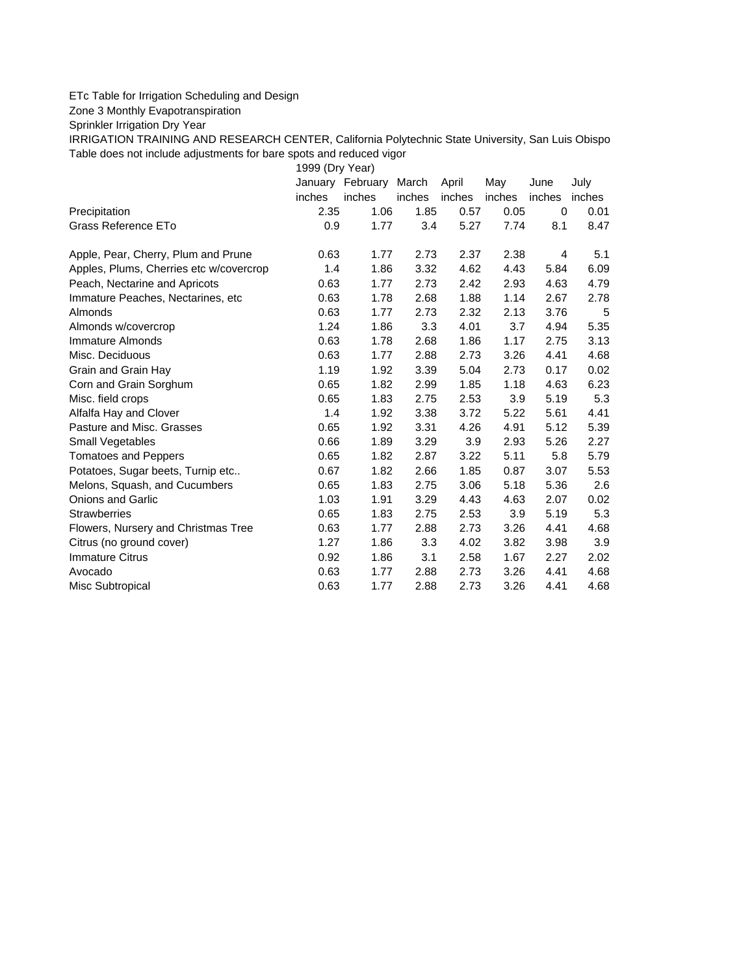## ETc Table for Irrigation Scheduling and Design

Zone 3 Monthly Evapotranspiration

Sprinkler Irrigation Dry Year

IRRIGATION TRAINING AND RESEARCH CENTER, California Polytechnic State University, San Luis Obispo Table does not include adjustments for bare spots and reduced vigor

1999 (Dry Year)

|                                         | January | February | March  | April  | May    | June   | July   |
|-----------------------------------------|---------|----------|--------|--------|--------|--------|--------|
|                                         | inches  | inches   | inches | inches | inches | inches | inches |
| Precipitation                           | 2.35    | 1.06     | 1.85   | 0.57   | 0.05   | 0      | 0.01   |
| Grass Reference ETo                     | 0.9     | 1.77     | 3.4    | 5.27   | 7.74   | 8.1    | 8.47   |
| Apple, Pear, Cherry, Plum and Prune     | 0.63    | 1.77     | 2.73   | 2.37   | 2.38   | 4      | 5.1    |
| Apples, Plums, Cherries etc w/covercrop | 1.4     | 1.86     | 3.32   | 4.62   | 4.43   | 5.84   | 6.09   |
| Peach, Nectarine and Apricots           | 0.63    | 1.77     | 2.73   | 2.42   | 2.93   | 4.63   | 4.79   |
| Immature Peaches, Nectarines, etc       | 0.63    | 1.78     | 2.68   | 1.88   | 1.14   | 2.67   | 2.78   |
| Almonds                                 | 0.63    | 1.77     | 2.73   | 2.32   | 2.13   | 3.76   | 5      |
| Almonds w/covercrop                     | 1.24    | 1.86     | 3.3    | 4.01   | 3.7    | 4.94   | 5.35   |
| Immature Almonds                        | 0.63    | 1.78     | 2.68   | 1.86   | 1.17   | 2.75   | 3.13   |
| Misc. Deciduous                         | 0.63    | 1.77     | 2.88   | 2.73   | 3.26   | 4.41   | 4.68   |
| Grain and Grain Hay                     | 1.19    | 1.92     | 3.39   | 5.04   | 2.73   | 0.17   | 0.02   |
| Corn and Grain Sorghum                  | 0.65    | 1.82     | 2.99   | 1.85   | 1.18   | 4.63   | 6.23   |
| Misc. field crops                       | 0.65    | 1.83     | 2.75   | 2.53   | 3.9    | 5.19   | 5.3    |
| Alfalfa Hay and Clover                  | 1.4     | 1.92     | 3.38   | 3.72   | 5.22   | 5.61   | 4.41   |
| Pasture and Misc. Grasses               | 0.65    | 1.92     | 3.31   | 4.26   | 4.91   | 5.12   | 5.39   |
| Small Vegetables                        | 0.66    | 1.89     | 3.29   | 3.9    | 2.93   | 5.26   | 2.27   |
| <b>Tomatoes and Peppers</b>             | 0.65    | 1.82     | 2.87   | 3.22   | 5.11   | 5.8    | 5.79   |
| Potatoes, Sugar beets, Turnip etc       | 0.67    | 1.82     | 2.66   | 1.85   | 0.87   | 3.07   | 5.53   |
| Melons, Squash, and Cucumbers           | 0.65    | 1.83     | 2.75   | 3.06   | 5.18   | 5.36   | 2.6    |
| <b>Onions and Garlic</b>                | 1.03    | 1.91     | 3.29   | 4.43   | 4.63   | 2.07   | 0.02   |
| <b>Strawberries</b>                     | 0.65    | 1.83     | 2.75   | 2.53   | 3.9    | 5.19   | 5.3    |
| Flowers, Nursery and Christmas Tree     | 0.63    | 1.77     | 2.88   | 2.73   | 3.26   | 4.41   | 4.68   |
| Citrus (no ground cover)                | 1.27    | 1.86     | 3.3    | 4.02   | 3.82   | 3.98   | 3.9    |
| <b>Immature Citrus</b>                  | 0.92    | 1.86     | 3.1    | 2.58   | 1.67   | 2.27   | 2.02   |
| Avocado                                 | 0.63    | 1.77     | 2.88   | 2.73   | 3.26   | 4.41   | 4.68   |
| Misc Subtropical                        | 0.63    | 1.77     | 2.88   | 2.73   | 3.26   | 4.41   | 4.68   |